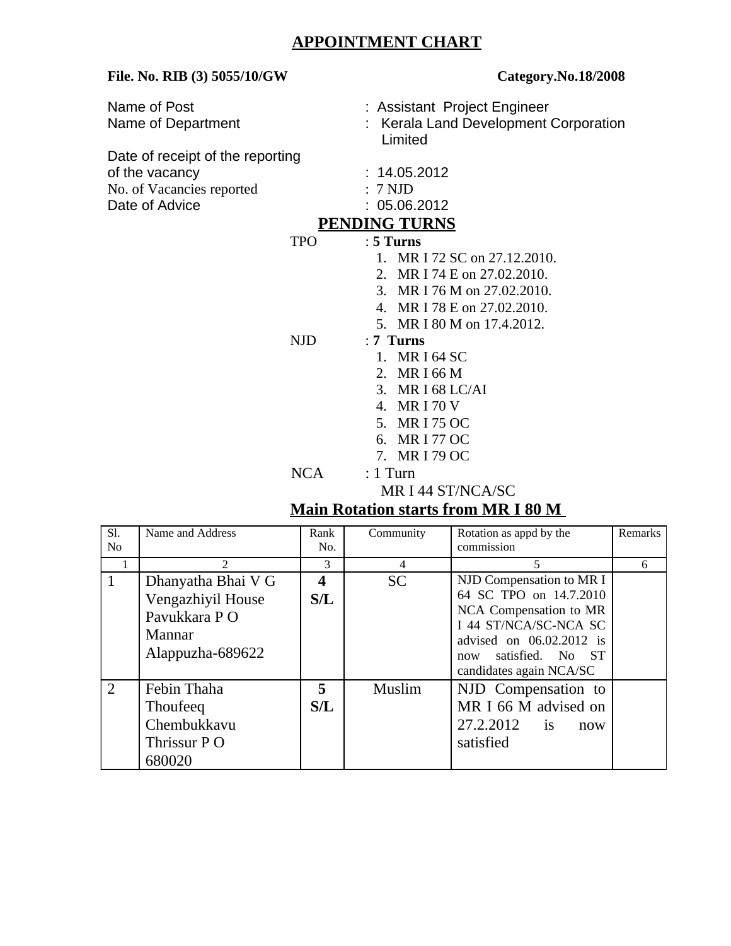## **APPOINTMENT CHART**

| APPOINTMENT CHART                                                                                 |                                                                                       |             |                                                                                                                                                                                                                    |                                                                                                                                                                                                                                                                                                                                                                                        |         |  |  |
|---------------------------------------------------------------------------------------------------|---------------------------------------------------------------------------------------|-------------|--------------------------------------------------------------------------------------------------------------------------------------------------------------------------------------------------------------------|----------------------------------------------------------------------------------------------------------------------------------------------------------------------------------------------------------------------------------------------------------------------------------------------------------------------------------------------------------------------------------------|---------|--|--|
| File. No. RIB (3) 5055/10/GW                                                                      |                                                                                       |             | Category.No.18/2008                                                                                                                                                                                                |                                                                                                                                                                                                                                                                                                                                                                                        |         |  |  |
|                                                                                                   | Name of Post<br>Name of Department                                                    |             | : Assistant Project Engineer<br>Kerala Land Development Corporation<br>Limited                                                                                                                                     |                                                                                                                                                                                                                                                                                                                                                                                        |         |  |  |
| Date of receipt of the reporting<br>of the vacancy<br>No. of Vacancies reported<br>Date of Advice |                                                                                       |             | 14.05.2012<br>7 NJD<br>05.06.2012<br><b>PENDING TURNS</b>                                                                                                                                                          |                                                                                                                                                                                                                                                                                                                                                                                        |         |  |  |
|                                                                                                   |                                                                                       | <b>TPO</b>  | $: 5$ Turns                                                                                                                                                                                                        |                                                                                                                                                                                                                                                                                                                                                                                        |         |  |  |
|                                                                                                   |                                                                                       | <b>NJD</b>  | 1. MR I 72 SC on 27.12.2010.<br>2. MR I 74 E on 27.02.2010.<br>3.<br>MR I 76 M on 27,02,2010.<br>4. MR I 78 E on 27.02.2010.<br>5. MR I 80 M on 17.4.2012.<br>$: 7$ Turns<br><b>MRI64 SC</b><br>1.<br>2. MR I 66 M |                                                                                                                                                                                                                                                                                                                                                                                        |         |  |  |
|                                                                                                   |                                                                                       |             | 3. MR I 68 LC/AI<br>4. MRI 70 V<br><b>MRI 75 OC</b><br>5.<br>6. MR I 77 OC<br>7. MR I 79 OC                                                                                                                        |                                                                                                                                                                                                                                                                                                                                                                                        |         |  |  |
|                                                                                                   | <b>NCA</b><br>$: 1$ Turn                                                              |             |                                                                                                                                                                                                                    |                                                                                                                                                                                                                                                                                                                                                                                        |         |  |  |
|                                                                                                   | MR I 44 ST/NCA/SC                                                                     |             |                                                                                                                                                                                                                    |                                                                                                                                                                                                                                                                                                                                                                                        |         |  |  |
| <b>Main Rotation starts from MR I 80 M</b>                                                        |                                                                                       |             |                                                                                                                                                                                                                    |                                                                                                                                                                                                                                                                                                                                                                                        |         |  |  |
| Sl.<br>$\rm No$                                                                                   | Name and Address                                                                      | Rank<br>No. | Community                                                                                                                                                                                                          | Rotation as appd by the<br>commission                                                                                                                                                                                                                                                                                                                                                  | Remarks |  |  |
| 1                                                                                                 | $\overline{2}$                                                                        | 3           | 4                                                                                                                                                                                                                  | 5                                                                                                                                                                                                                                                                                                                                                                                      | 6       |  |  |
| $\mathbf{1}$                                                                                      | Dhanyatha Bhai V G<br>Vengazhiyil House<br>Pavukkara PO<br>Mannar<br>Alappuzha-689622 | 4<br>S/L    | <b>SC</b>                                                                                                                                                                                                          | NJD Compensation to MR I<br>64 SC TPO on 14.7.2010<br>NCA Compensation to MR<br>I 44 ST/NCA/SC-NCA SC<br>advised on 06.02.2012 is<br>satisfied.<br>N <sub>0</sub><br>ST.<br>now<br>$\frac{1}{2}$ $\frac{1}{2}$ $\frac{1}{2}$ $\frac{1}{2}$ $\frac{1}{2}$ $\frac{1}{2}$ $\frac{1}{2}$ $\frac{1}{2}$ $\frac{1}{2}$ $\frac{1}{2}$ $\frac{1}{2}$ $\frac{1}{2}$ $\frac{1}{2}$ $\frac{1}{2}$ |         |  |  |

|                |                                                                                        | 3        | 4         | 5                                                                                                                                                                                    | 6 |
|----------------|----------------------------------------------------------------------------------------|----------|-----------|--------------------------------------------------------------------------------------------------------------------------------------------------------------------------------------|---|
| 1              | Dhanyatha Bhai V G<br>Vengazhiyil House<br>Pavukkara P O<br>Mannar<br>Alappuzha-689622 | 4<br>S/L | <b>SC</b> | NJD Compensation to MR I<br>64 SC TPO on 14.7.2010<br>NCA Compensation to MR<br>I 44 ST/NCA/SC-NCA SC<br>advised on 06.02.2012 is<br>now satisfied. No ST<br>candidates again NCA/SC |   |
| $\overline{2}$ | Febin Thaha<br><b>Thoufeeq</b><br>Chembukkavu<br>Thrissur P O<br>680020                | 5<br>S/L | Muslim    | NJD Compensation to<br>MR I 66 M advised on<br>27.2.2012 is<br>now<br>satisfied                                                                                                      |   |